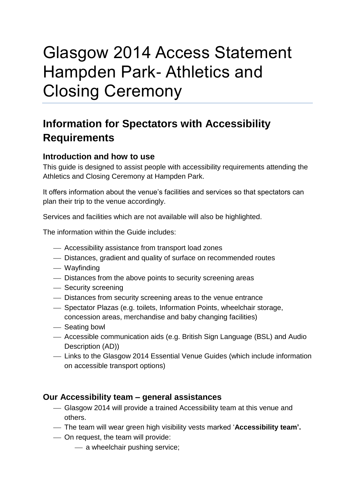# Glasgow 2014 Access Statement Hampden Park- Athletics and Closing Ceremony

## **Information for Spectators with Accessibility Requirements**

## **Introduction and how to use**

This guide is designed to assist people with accessibility requirements attending the Athletics and Closing Ceremony at Hampden Park.

It offers information about the venue's facilities and services so that spectators can plan their trip to the venue accordingly.

Services and facilities which are not available will also be highlighted.

The information within the Guide includes:

- Accessibility assistance from transport load zones
- Distances, gradient and quality of surface on recommended routes
- Wayfinding
- Distances from the above points to security screening areas
- Security screening
- Distances from security screening areas to the venue entrance
- Spectator Plazas (e.g. toilets, Information Points, wheelchair storage, concession areas, merchandise and baby changing facilities)
- Seating bowl
- Accessible communication aids (e.g. British Sign Language (BSL) and Audio Description (AD))
- Links to the Glasgow 2014 Essential Venue Guides (which include information on accessible transport options)

## **Our Accessibility team – general assistances**

- Glasgow 2014 will provide a trained Accessibility team at this venue and others.
- The team will wear green high visibility vests marked '**Accessibility team'.**
- On request, the team will provide:
	- a wheelchair pushing service;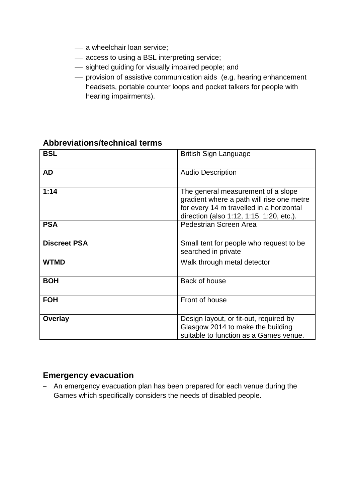- a wheelchair loan service;
- access to using a BSL interpreting service;
- $-$  sighted guiding for visually impaired people; and
- provision of assistive communication aids (e.g. hearing enhancement headsets, portable counter loops and pocket talkers for people with hearing impairments).

| <b>BSL</b>          | <b>British Sign Language</b>                                                                                                                                            |
|---------------------|-------------------------------------------------------------------------------------------------------------------------------------------------------------------------|
| <b>AD</b>           | <b>Audio Description</b>                                                                                                                                                |
| 1:14                | The general measurement of a slope<br>gradient where a path will rise one metre<br>for every 14 m travelled in a horizontal<br>direction (also 1:12, 1:15, 1:20, etc.). |
| <b>PSA</b>          | Pedestrian Screen Area                                                                                                                                                  |
| <b>Discreet PSA</b> | Small tent for people who request to be<br>searched in private                                                                                                          |
| <b>WTMD</b>         | Walk through metal detector                                                                                                                                             |
| <b>BOH</b>          | Back of house                                                                                                                                                           |
| <b>FOH</b>          | Front of house                                                                                                                                                          |
| Overlay             | Design layout, or fit-out, required by<br>Glasgow 2014 to make the building<br>suitable to function as a Games venue.                                                   |

## **Abbreviations/technical terms**

## **Emergency evacuation**

– An emergency evacuation plan has been prepared for each venue during the Games which specifically considers the needs of disabled people.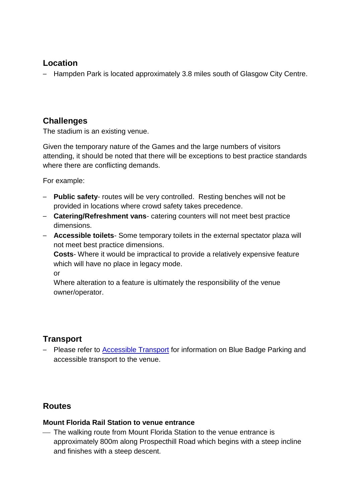## **Location**

– Hampden Park is located approximately 3.8 miles south of Glasgow City Centre.

## **Challenges**

The stadium is an existing venue.

Given the temporary nature of the Games and the large numbers of visitors attending, it should be noted that there will be exceptions to best practice standards where there are conflicting demands.

For example:

- **Public safety** routes will be very controlled. Resting benches will not be provided in locations where crowd safety takes precedence.
- **Catering/Refreshment vans** catering counters will not meet best practice dimensions.
- **Accessible toilets** Some temporary toilets in the external spectator plaza will not meet best practice dimensions.

**Costs**- Where it would be impractical to provide a relatively expensive feature which will have no place in legacy mode.

or

Where alteration to a feature is ultimately the responsibility of the venue owner/operator.

## **Transport**

– Please refer to [Accessible Transport](http://www.glasgow2014.com/games/transport/accessibility-information) for information on Blue Badge Parking and accessible transport to the venue.

## **Routes**

## **Mount Florida Rail Station to venue entrance**

 The walking route from Mount Florida Station to the venue entrance is approximately 800m along Prospecthill Road which begins with a steep incline and finishes with a steep descent.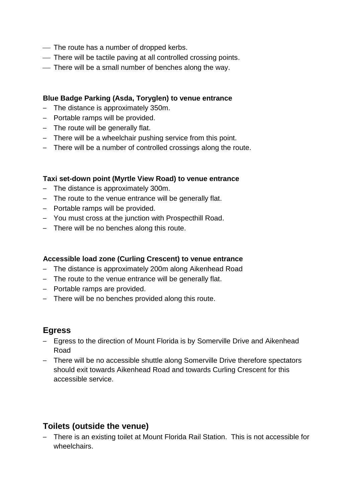- The route has a number of dropped kerbs.
- There will be tactile paving at all controlled crossing points.
- There will be a small number of benches along the way.

#### **Blue Badge Parking (Asda, Toryglen) to venue entrance**

- The distance is approximately 350m.
- Portable ramps will be provided.
- The route will be generally flat.
- There will be a wheelchair pushing service from this point.
- There will be a number of controlled crossings along the route.

#### **Taxi set-down point (Myrtle View Road) to venue entrance**

- The distance is approximately 300m.
- The route to the venue entrance will be generally flat.
- Portable ramps will be provided.
- You must cross at the junction with Prospecthill Road.
- There will be no benches along this route.

#### **Accessible load zone (Curling Crescent) to venue entrance**

- The distance is approximately 200m along Aikenhead Road
- The route to the venue entrance will be generally flat.
- Portable ramps are provided.
- There will be no benches provided along this route.

## **Egress**

- Egress to the direction of Mount Florida is by Somerville Drive and Aikenhead Road
- There will be no accessible shuttle along Somerville Drive therefore spectators should exit towards Aikenhead Road and towards Curling Crescent for this accessible service.

## **Toilets (outside the venue)**

– There is an existing toilet at Mount Florida Rail Station. This is not accessible for wheelchairs.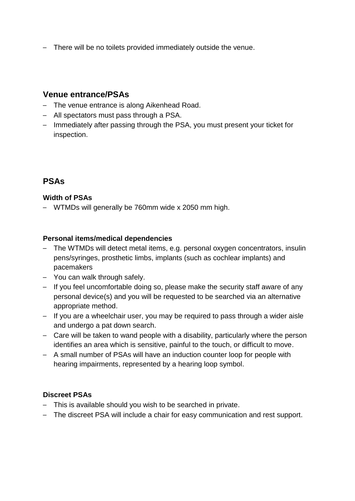– There will be no toilets provided immediately outside the venue.

## **Venue entrance/PSAs**

- The venue entrance is along Aikenhead Road.
- All spectators must pass through a PSA.
- Immediately after passing through the PSA, you must present your ticket for inspection.

## **PSAs**

#### **Width of PSAs**

– WTMDs will generally be 760mm wide x 2050 mm high.

#### **Personal items/medical dependencies**

- The WTMDs will detect metal items, e.g. personal oxygen concentrators, insulin pens/syringes, prosthetic limbs, implants (such as cochlear implants) and pacemakers
- You can walk through safely.
- If you feel uncomfortable doing so, please make the security staff aware of any personal device(s) and you will be requested to be searched via an alternative appropriate method.
- If you are a wheelchair user, you may be required to pass through a wider aisle and undergo a pat down search.
- Care will be taken to wand people with a disability, particularly where the person identifies an area which is sensitive, painful to the touch, or difficult to move.
- A small number of PSAs will have an induction counter loop for people with hearing impairments, represented by a hearing loop symbol.

#### **Discreet PSAs**

- This is available should you wish to be searched in private.
- The discreet PSA will include a chair for easy communication and rest support.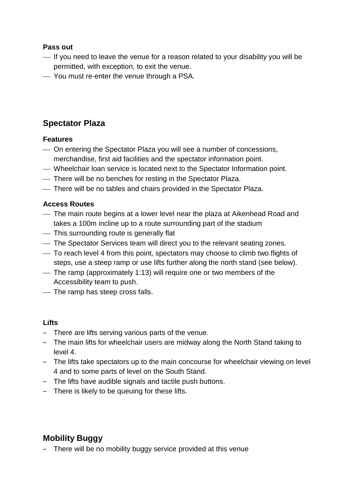#### **Pass out**

- If you need to leave the venue for a reason related to your disability you will be permitted, with exception, to exit the venue.
- You must re-enter the venue through a PSA.

## **Spectator Plaza**

### **Features**

- On entering the Spectator Plaza you will see a number of concessions, merchandise, first aid facilities and the spectator information point.
- Wheelchair loan service is located next to the Spectator Information point.
- There will be no benches for resting in the Spectator Plaza.
- There will be no tables and chairs provided in the Spectator Plaza.

### **Access Routes**

- The main route begins at a lower level near the plaza at Aikenhead Road and takes a 100m incline up to a route surrounding part of the stadium
- This surrounding route is generally flat
- The Spectator Services team will direct you to the relevant seating zones.
- To reach level 4 from this point, spectators may choose to climb two flights of steps, use a steep ramp or use lifts further along the north stand (see below).
- The ramp (approximately 1:13) will require one or two members of the Accessibility team to push.
- The ramp has steep cross falls.

#### **Lifts**

- There are lifts serving various parts of the venue.
- The main lifts for wheelchair users are midway along the North Stand taking to level 4.
- The lifts take spectators up to the main concourse for wheelchair viewing on level 4 and to some parts of level on the South Stand.
- The lifts have audible signals and tactile push buttons.
- There is likely to be queuing for these lifts.

## **Mobility Buggy**

– There will be no mobility buggy service provided at this venue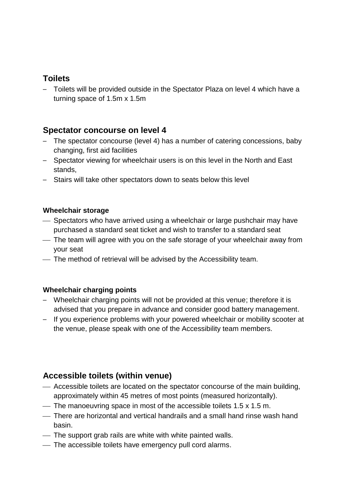## **Toilets**

– Toilets will be provided outside in the Spectator Plaza on level 4 which have a turning space of 1.5m x 1.5m

## **Spectator concourse on level 4**

- The spectator concourse (level 4) has a number of catering concessions, baby changing, first aid facilities
- Spectator viewing for wheelchair users is on this level in the North and East stands,
- Stairs will take other spectators down to seats below this level

### **Wheelchair storage**

- Spectators who have arrived using a wheelchair or large pushchair may have purchased a standard seat ticket and wish to transfer to a standard seat
- The team will agree with you on the safe storage of your wheelchair away from your seat
- The method of retrieval will be advised by the Accessibility team.

## **Wheelchair charging points**

- Wheelchair charging points will not be provided at this venue; therefore it is advised that you prepare in advance and consider good battery management.
- If you experience problems with your powered wheelchair or mobility scooter at the venue, please speak with one of the Accessibility team members.

## **Accessible toilets (within venue)**

- Accessible toilets are located on the spectator concourse of the main building, approximately within 45 metres of most points (measured horizontally).
- The manoeuvring space in most of the accessible toilets  $1.5 \times 1.5$  m.
- There are horizontal and vertical handrails and a small hand rinse wash hand basin.
- The support grab rails are white with white painted walls.
- The accessible toilets have emergency pull cord alarms.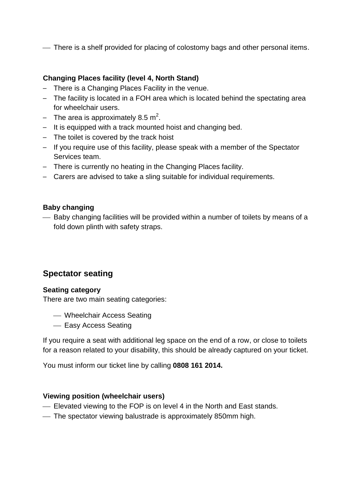There is a shelf provided for placing of colostomy bags and other personal items.

### **Changing Places facility (level 4, North Stand)**

- There is a Changing Places Facility in the venue.
- The facility is located in a FOH area which is located behind the spectating area for wheelchair users.
- The area is approximately 8.5 m<sup>2</sup>.
- It is equipped with a track mounted hoist and changing bed.
- The toilet is covered by the track hoist
- If you require use of this facility, please speak with a member of the Spectator Services team.
- There is currently no heating in the Changing Places facility.
- Carers are advised to take a sling suitable for individual requirements.

#### **Baby changing**

 Baby changing facilities will be provided within a number of toilets by means of a fold down plinth with safety straps.

## **Spectator seating**

#### **Seating category**

There are two main seating categories:

- Wheelchair Access Seating
- Easy Access Seating

If you require a seat with additional leg space on the end of a row, or close to toilets for a reason related to your disability, this should be already captured on your ticket.

You must inform our ticket line by calling **0808 161 2014.**

#### **Viewing position (wheelchair users)**

- Elevated viewing to the FOP is on level 4 in the North and East stands.
- The spectator viewing balustrade is approximately 850mm high.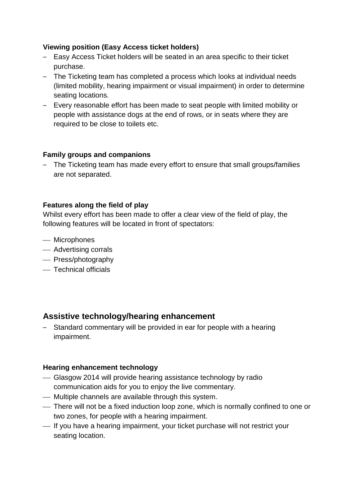#### **Viewing position (Easy Access ticket holders)**

- Easy Access Ticket holders will be seated in an area specific to their ticket purchase.
- The Ticketing team has completed a process which looks at individual needs (limited mobility, hearing impairment or visual impairment) in order to determine seating locations.
- Every reasonable effort has been made to seat people with limited mobility or people with assistance dogs at the end of rows, or in seats where they are required to be close to toilets etc.

#### **Family groups and companions**

– The Ticketing team has made every effort to ensure that small groups/families are not separated.

#### **Features along the field of play**

Whilst every effort has been made to offer a clear view of the field of play, the following features will be located in front of spectators:

- Microphones
- Advertising corrals
- Press/photography
- Technical officials

## **Assistive technology/hearing enhancement**

– Standard commentary will be provided in ear for people with a hearing impairment.

#### **Hearing enhancement technology**

- Glasgow 2014 will provide hearing assistance technology by radio communication aids for you to enjoy the live commentary.
- Multiple channels are available through this system.
- There will not be a fixed induction loop zone, which is normally confined to one or two zones, for people with a hearing impairment.
- $-$  If you have a hearing impairment, your ticket purchase will not restrict your seating location.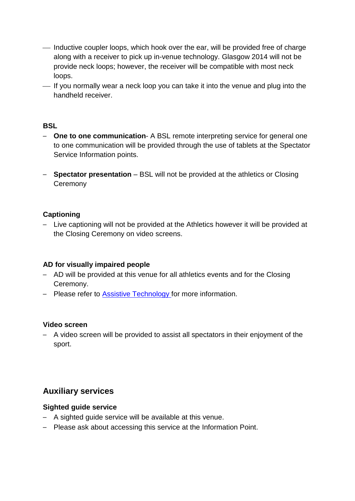- Inductive coupler loops, which hook over the ear, will be provided free of charge along with a receiver to pick up in-venue technology. Glasgow 2014 will not be provide neck loops; however, the receiver will be compatible with most neck loops.
- If you normally wear a neck loop you can take it into the venue and plug into the handheld receiver.

#### **BSL**

- **One to one communication** A BSL remote interpreting service for general one to one communication will be provided through the use of tablets at the Spectator Service Information points.
- **Spectator presentation** BSL will not be provided at the athletics or Closing **Ceremony**

#### **Captioning**

– Live captioning will not be provided at the Athletics however it will be provided at the Closing Ceremony on video screens.

#### **AD for visually impaired people**

- AD will be provided at this venue for all athletics events and for the Closing Ceremony.
- Please refer to [Assistive Technology](http://www.glasgow2014.com/about-us/accessibility-diversity-and-inclusion/assistive-technology) for more information.

#### **Video screen**

– A video screen will be provided to assist all spectators in their enjoyment of the sport.

## **Auxiliary services**

#### **Sighted guide service**

- A sighted guide service will be available at this venue.
- Please ask about accessing this service at the Information Point.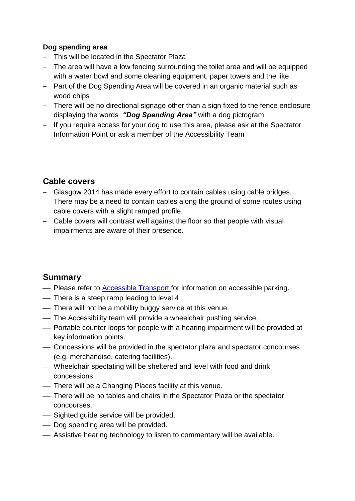### **Dog spending area**

- This will be located in the Spectator Plaza
- The area will have a low fencing surrounding the toilet area and will be equipped with a water bowl and some cleaning equipment, paper towels and the like
- Part of the Dog Spending Area will be covered in an organic material such as wood chips
- There will be no directional signage other than a sign fixed to the fence enclosure displaying the words *"Dog Spending Area"* with a dog pictogram
- If you require access for your dog to use this area, please ask at the Spectator Information Point or ask a member of the Accessibility Team

## **Cable covers**

- Glasgow 2014 has made every effort to contain cables using cable bridges. There may be a need to contain cables along the ground of some routes using cable covers with a slight ramped profile.
- Cable covers will contrast well against the floor so that people with visual impairments are aware of their presence.

## **Summary**

- Please refer to [Accessible Transport](http://www.glasgow2014.com/games/transport/accessibility-information) for information on accessible parking.
- There is a steep ramp leading to level 4.
- There will not be a mobility buggy service at this venue.
- The Accessibility team will provide a wheelchair pushing service.
- Portable counter loops for people with a hearing impairment will be provided at key information points.
- Concessions will be provided in the spectator plaza and spectator concourses (e.g. merchandise, catering facilities).
- Wheelchair spectating will be sheltered and level with food and drink concessions.
- There will be a Changing Places facility at this venue.
- There will be no tables and chairs in the Spectator Plaza or the spectator concourses.
- Sighted guide service will be provided.
- Dog spending area will be provided.
- Assistive hearing technology to listen to commentary will be available.